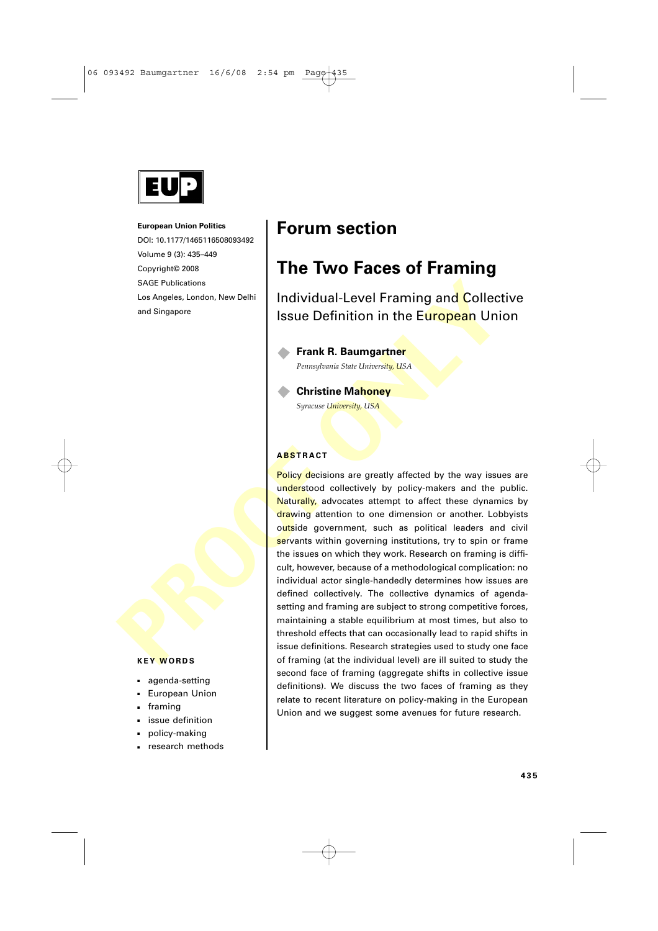

DOI: 10.1177/1465116508093492 Volume 9 (3): 435–449 Copyright© 2008 SAGE Publications Los Angeles, London, New Delhi and Singapore

#### **KEY WORDS**

- agenda-setting
- European Union
- framing
- issue definition
- policy-making
- research methods

# **Forum section**

# **The Two Faces of Framing**

Individual-Level Framing and Collective Issue Definition in the European Union

# **Frank R. Baumgartner**

*Pennsylvania State University, USA*

**Christine Mahoney** *Syracuse University, USA*

# **ABSTRACT**

SAGE Publications<br>
Los Angeles, London, New Delhi<br>
Individual-Level Framing and Collect<br>
ISSUE Definition in the European Unit<br>
Permsylvania State University, USA<br>
Prank R. Baumgartner<br>
Permsylvania State University, USA<br> Policy decisions are greatly affected by the way issues are understood collectively by policy-makers and the public. Naturally, advocates attempt to affect these dynamics by drawing attention to one dimension or another. Lobbyists outside government, such as political leaders and civil servants within governing institutions, try to spin or frame the issues on which they work. Research on framing is difficult, however, because of a methodological complication: no individual actor single-handedly determines how issues are defined collectively. The collective dynamics of agendasetting and framing are subject to strong competitive forces, maintaining a stable equilibrium at most times, but also to threshold effects that can occasionally lead to rapid shifts in issue definitions. Research strategies used to study one face of framing (at the individual level) are ill suited to study the second face of framing (aggregate shifts in collective issue definitions). We discuss the two faces of framing as they relate to recent literature on policy-making in the European Union and we suggest some avenues for future research.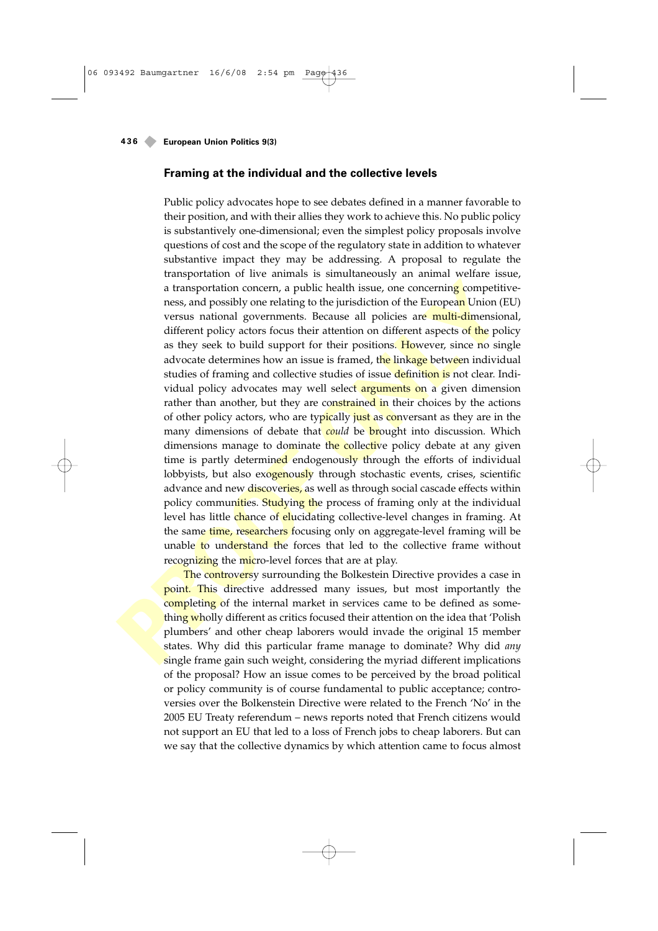### **Framing at the individual and the collective levels**

a transportation concern, a public health issue, one concerning competitives, and possibly one relating to the jurisdiction of the European Union (I) versus natalogiverments. Because all policies are multi-dimension differ Public policy advocates hope to see debates defined in a manner favorable to their position, and with their allies they work to achieve this. No public policy is substantively one-dimensional; even the simplest policy proposals involve questions of cost and the scope of the regulatory state in addition to whatever substantive impact they may be addressing. A proposal to regulate the transportation of live animals is simultaneously an animal welfare issue, a transportation concern, a public health issue, one concerning competitiveness, and possibly one relating to the jurisdiction of the European Union (EU) versus national governments. Because all policies are multi-dimensional, different policy actors focus their attention on different aspects of the policy as they seek to build support for their positions. However, since no single advocate determines how an issue is framed, the linkage between individual studies of framing and collective studies of issue definition is not clear. Individual policy advocates may well select arguments on a given dimension rather than another, but they are constrained in their choices by the actions of other policy actors, who are typically just as conversant as they are in the many dimensions of debate that *could* be brought into discussion. Which dimensions manage to dominate the collective policy debate at any given time is partly determined endogenously through the efforts of individual lobbyists, but also exogenously through stochastic events, crises, scientific advance and new discoveries, as well as through social cascade effects within policy communities. Studying the process of framing only at the individual level has little chance of elucidating collective-level changes in framing. At the same time, researchers focusing only on aggregate-level framing will be unable to understand the forces that led to the collective frame without recognizing the micro-level forces that are at play.

The controversy surrounding the Bolkestein Directive provides a case in point. This directive addressed many issues, but most importantly the completing of the internal market in services came to be defined as something wholly different as critics focused their attention on the idea that 'Polish plumbers' and other cheap laborers would invade the original 15 member states. Why did this particular frame manage to dominate? Why did *any* single frame gain such weight, considering the myriad different implications of the proposal? How an issue comes to be perceived by the broad political or policy community is of course fundamental to public acceptance; controversies over the Bolkenstein Directive were related to the French 'No' in the 2005 EU Treaty referendum – news reports noted that French citizens would not support an EU that led to a loss of French jobs to cheap laborers. But can we say that the collective dynamics by which attention came to focus almost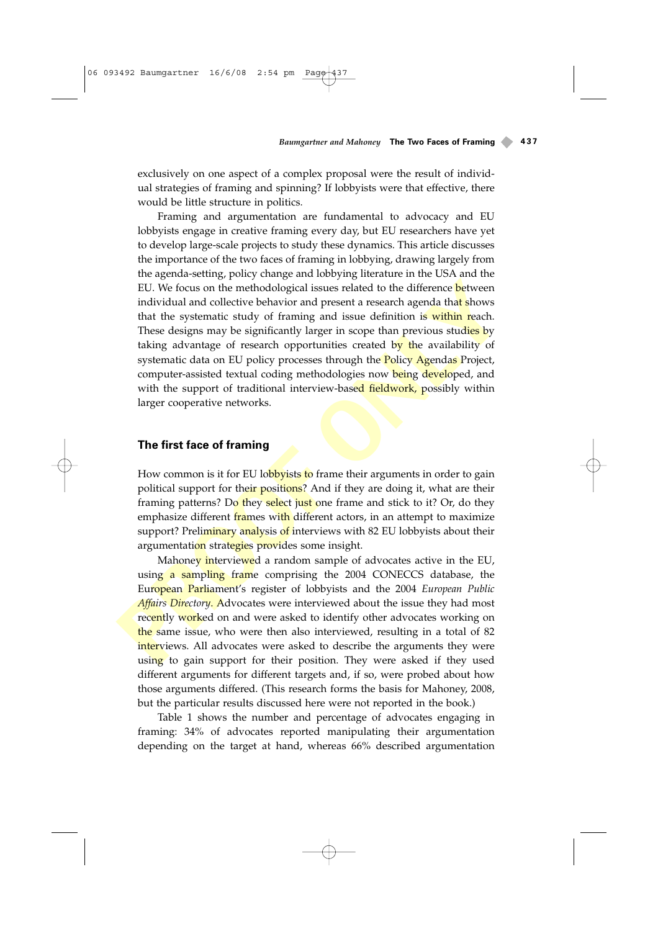exclusively on one aspect of a complex proposal were the result of individual strategies of framing and spinning? If lobbyists were that effective, there would be little structure in politics.

EU. We focus on the methodological issues related to the difference between<br>individual and collective behavior and present a research agenda that shows<br>that the systematic study of framing and issue definition is within r Framing and argumentation are fundamental to advocacy and EU lobbyists engage in creative framing every day, but EU researchers have yet to develop large-scale projects to study these dynamics. This article discusses the importance of the two faces of framing in lobbying, drawing largely from the agenda-setting, policy change and lobbying literature in the USA and the EU. We focus on the methodological issues related to the difference **between** individual and collective behavior and present a research agenda that shows that the systematic study of framing and issue definition is within reach. These designs may be significantly larger in scope than previous studies by taking advantage of research opportunities created by the availability of systematic data on EU policy processes through the Policy Agendas Project, computer-assisted textual coding methodologies now being developed, and with the support of traditional interview-based fieldwork, possibly within larger cooperative networks.

# **The first face of framing**

06 093492 Baumgartner 16/6/08 2:54 pm Pag

How common is it for EU lobbyists to frame their arguments in order to gain political support for their positions? And if they are doing it, what are their framing patterns? Do they select just one frame and stick to it? Or, do they emphasize different frames with different actors, in an attempt to maximize support? Preliminary analysis of interviews with 82 EU lobbyists about their argumentation strategies provides some insight.

Mahoney interviewed a random sample of advocates active in the EU, using a sampling frame comprising the 2004 CONECCS database, the European Parliament's register of lobbyists and the 2004 *European Public Affairs Directory*. Advocates were interviewed about the issue they had most recently worked on and were asked to identify other advocates working on the same issue, who were then also interviewed, resulting in a total of 82 interviews. All advocates were asked to describe the arguments they were using to gain support for their position. They were asked if they used different arguments for different targets and, if so, were probed about how those arguments differed. (This research forms the basis for Mahoney, 2008, but the particular results discussed here were not reported in the book.)

Table 1 shows the number and percentage of advocates engaging in framing: 34% of advocates reported manipulating their argumentation depending on the target at hand, whereas 66% described argumentation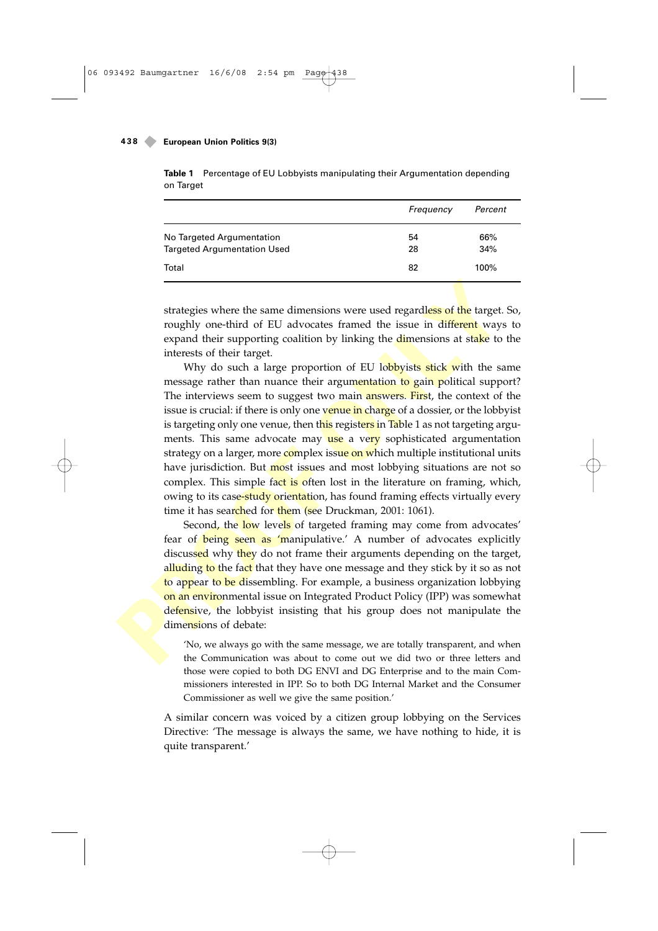**Table 1** Percentage of EU Lobbyists manipulating their Argumentation depending on Target

|                                                                 | Frequency | Percent    |
|-----------------------------------------------------------------|-----------|------------|
| No Targeted Argumentation<br><b>Targeted Argumentation Used</b> | 54<br>28  | 66%<br>34% |
| Total                                                           | 82        | 100%       |

strategies where the same dimensions were used regardless of the target. So, roughly one-third of EU advocates framed the issue in different ways to expand their supporting coalition by linking the dimensions at stake to the interests of their target.

strategies where the same dimensions were used regardless of the target.<br>
roughly one-third of EU advocates framed the issue in different ways<br>
expand their surporting coalition by linking the **dimensions** at stake to<br>
int Why do such a large proportion of EU lobbyists stick with the same message rather than nuance their argumentation to gain political support? The interviews seem to suggest two main **answers. First**, the context of the issue is crucial: if there is only one venue in charge of a dossier, or the lobbyist is targeting only one venue, then this registers in Table 1 as not targeting arguments. This same advocate may use a very sophisticated argumentation strategy on a larger, more complex issue on which multiple institutional units have jurisdiction. But most issues and most lobbying situations are not so complex. This simple fact is often lost in the literature on framing, which, owing to its case-study orientation, has found framing effects virtually every time it has searched for them (see Druckman, 2001: 1061).

Second, the low levels of targeted framing may come from advocates' fear of being seen as 'manipulative.' A number of advocates explicitly discussed why they do not frame their arguments depending on the target, alluding to the fact that they have one message and they stick by it so as not to appear to be dissembling. For example, a business organization lobbying on an environmental issue on Integrated Product Policy (IPP) was somewhat defensive, the lobbyist insisting that his group does not manipulate the dimensions of debate:

'No, we always go with the same message, we are totally transparent, and when the Communication was about to come out we did two or three letters and those were copied to both DG ENVI and DG Enterprise and to the main Commissioners interested in IPP. So to both DG Internal Market and the Consumer Commissioner as well we give the same position.'

A similar concern was voiced by a citizen group lobbying on the Services Directive: 'The message is always the same, we have nothing to hide, it is quite transparent.'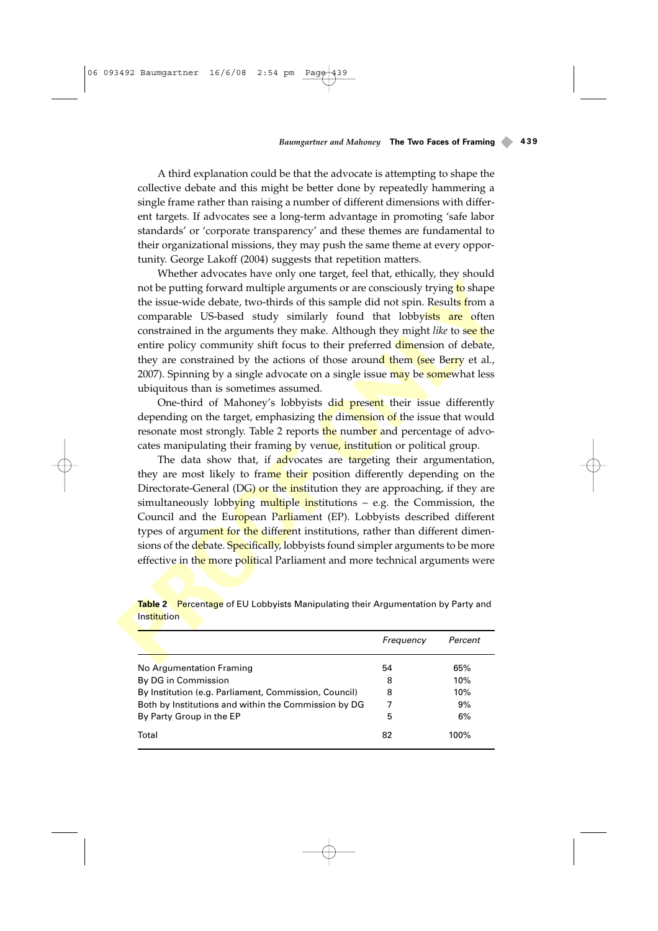A third explanation could be that the advocate is attempting to shape the collective debate and this might be better done by repeatedly hammering a single frame rather than raising a number of different dimensions with different targets. If advocates see a long-term advantage in promoting 'safe labor standards' or 'corporate transparency' and these themes are fundamental to their organizational missions, they may push the same theme at every opportunity. George Lakoff (2004) suggests that repetition matters.

06 093492 Baumgartner 16/6/08 2:54 pm Page

not be putting forward multiple arguments or are consciously trying to shape<br>the issue-wide debate, two-thirds of this sample did not spin. Results from a<br>comparable US-based study similarly from that hobbyists, are often<br> Whether advocates have only one target, feel that, ethically, they should not be putting forward multiple arguments or are consciously trying to shape the issue-wide debate, two-thirds of this sample did not spin. Results from a comparable US-based study similarly found that lobbyists are often constrained in the arguments they make. Although they might *like* to see the entire policy community shift focus to their preferred dimension of debate, they are constrained by the actions of those around them (see Berry et al., 2007). Spinning by a single advocate on a single issue may be somewhat less ubiquitous than is sometimes assumed.

One-third of Mahoney's lobbyists did present their issue differently depending on the target, emphasizing the dimension of the issue that would resonate most strongly. Table 2 reports the number and percentage of advocates manipulating their framing by venue, institution or political group.

The data show that, if advocates are targeting their argumentation, they are most likely to frame their position differently depending on the Directorate-General  $(DG)$  or the institution they are approaching, if they are simultaneously lobbying multiple institutions  $-$  e.g. the Commission, the Council and the European Parliament (EP). Lobbyists described different types of argument for the different institutions, rather than different dimensions of the debate. Specifically, lobbyists found simpler arguments to be more effective in the more political Parliament and more technical arguments were

|                                                       | Frequency | Percent |
|-------------------------------------------------------|-----------|---------|
| No Argumentation Framing                              | 54        | 65%     |
| By DG in Commission                                   | 8         | 10%     |
| By Institution (e.g. Parliament, Commission, Council) | 8         | 10%     |
| Both by Institutions and within the Commission by DG  |           | 9%      |
| By Party Group in the EP                              | 5         | 6%      |
| Total                                                 | 82        | 100%    |

**Table 2** Percentage of EU Lobbyists Manipulating their Argumentation by Party and Institution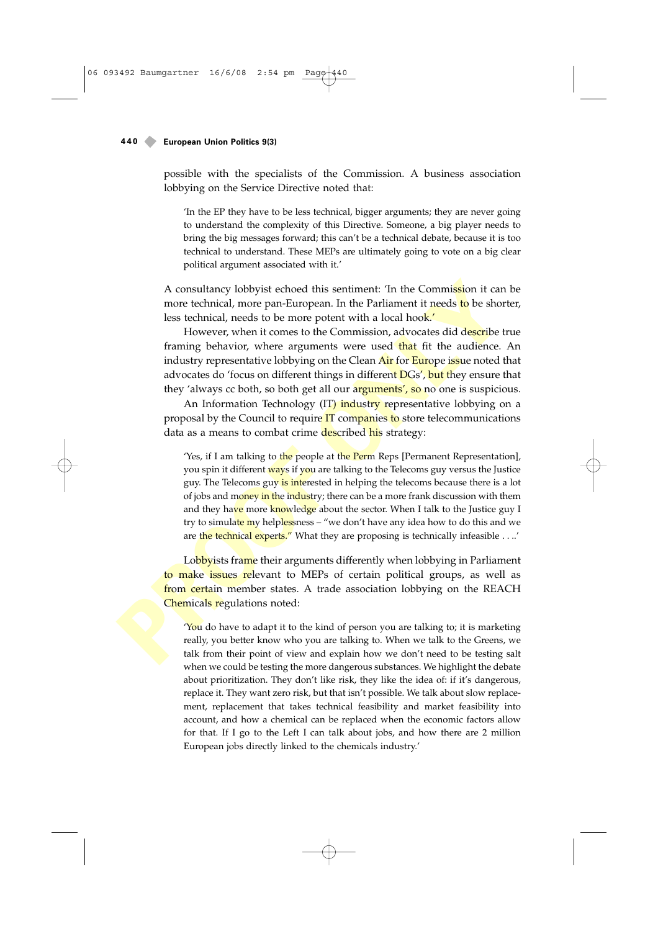possible with the specialists of the Commission. A business association lobbying on the Service Directive noted that:

'In the EP they have to be less technical, bigger arguments; they are never going to understand the complexity of this Directive. Someone, a big player needs to bring the big messages forward; this can't be a technical debate, because it is too technical to understand. These MEPs are ultimately going to vote on a big clear political argument associated with it.'

A consultancy lobbyist echoed this sentiment: 'In the Commission it can be more technical, more pan-European. In the Parliament it needs to be shorter, less technical, needs to be more potent with a local hook.'

However, when it comes to the Commission, advocates did describe true framing behavior, where arguments were used that fit the audience. An industry representative lobbying on the Clean Air for Europe issue noted that advocates do 'focus on different things in different DGs', but they ensure that they 'always cc both, so both get all our **arguments', so** no one is suspicious.

An Information Technology (IT) industry representative lobbying on a proposal by the Council to require IT companies to store telecommunications data as a means to combat crime described his strategy:

A consultancy lobby<br>ist echoed this sentiment. Th the Commission it car<br>more technical, more pan-European. In the Parliament it needs to be shot<br>less technical, needs to be more potent with a local hook."<br>However, when it 'Yes, if I am talking to the people at the Perm Reps [Permanent Representation], you spin it different ways if you are talking to the Telecoms guy versus the Justice guy. The Telecoms guy is interested in helping the telecoms because there is a lot of jobs and money in the industry; there can be a more frank discussion with them and they have more knowledge about the sector. When I talk to the Justice guy I try to simulate my helplessness – "we don't have any idea how to do this and we are the technical experts." What they are proposing is technically infeasible . . ..'

Lobbyists frame their arguments differently when lobbying in Parliament to make issues relevant to MEPs of certain political groups, as well as from certain member states. A trade association lobbying on the REACH Chemicals regulations noted:

You do have to adapt it to the kind of person you are talking to; it is marketing really, you better know who you are talking to. When we talk to the Greens, we talk from their point of view and explain how we don't need to be testing salt when we could be testing the more dangerous substances. We highlight the debate about prioritization. They don't like risk, they like the idea of: if it's dangerous, replace it. They want zero risk, but that isn't possible. We talk about slow replacement, replacement that takes technical feasibility and market feasibility into account, and how a chemical can be replaced when the economic factors allow for that. If I go to the Left I can talk about jobs, and how there are 2 million European jobs directly linked to the chemicals industry.'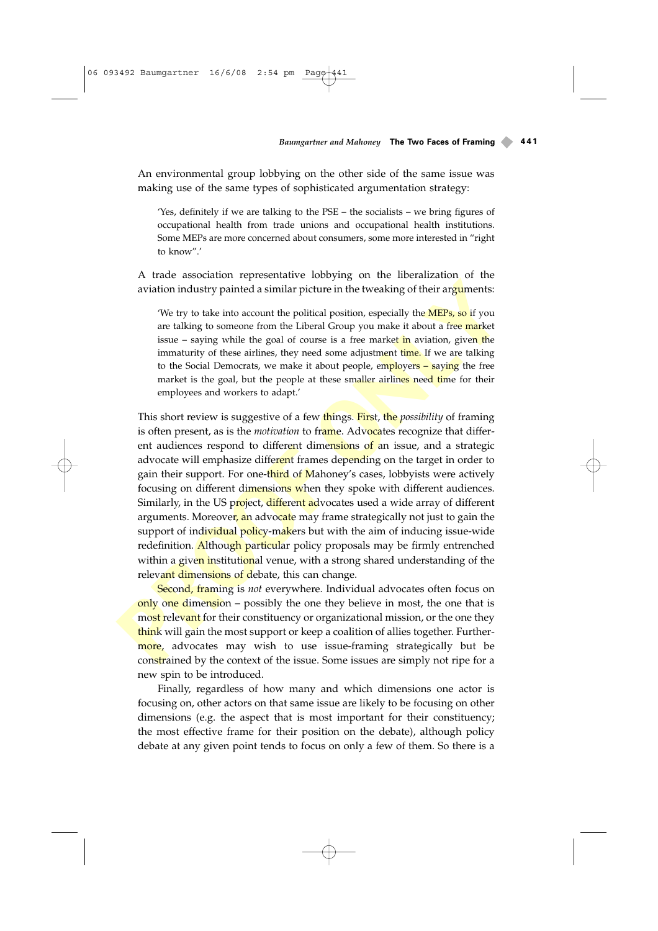An environmental group lobbying on the other side of the same issue was making use of the same types of sophisticated argumentation strategy:

06 093492 Baumgartner 16/6/08 2:54 pm

'Yes, definitely if we are talking to the PSE – the socialists – we bring figures of occupational health from trade unions and occupational health institutions. Some MEPs are more concerned about consumers, some more interested in "right to know".'

A trade association representative lobbying on the liberalization of the aviation industry painted a similar picture in the tweaking of their arguments:

We try to take into account the political position, especially the **MEPs**, so if you are talking to someone from the Liberal Group you make it about a free market issue – saying while the goal of course is a free market in aviation, given the immaturity of these airlines, they need some adjustment time. If we are talking to the Social Democrats, we make it about people, employers – saying the free market is the goal, but the people at these smaller airlines need time for their employees and workers to adapt.'

The constantion in the state is constantive to the interest and the methanology of their arguments:<br>
We try to take into account the political position, especially the **MEPs**, so if you<br>
are talking to someone from the Li This short review is suggestive of a few things. First, the *possibility* of framing is often present, as is the *motivation* to frame. Advocates recognize that different audiences respond to different dimensions of an issue, and a strategic advocate will emphasize different frames depending on the target in order to gain their support. For one-third of Mahoney's cases, lobbyists were actively focusing on different dimensions when they spoke with different audiences. Similarly, in the US project, different advocates used a wide array of different arguments. Moreover, an advocate may frame strategically not just to gain the support of individual policy-makers but with the aim of inducing issue-wide redefinition. Although particular policy proposals may be firmly entrenched within a given institutional venue, with a strong shared understanding of the relevant dimensions of debate, this can change.

Second, framing is *not* everywhere. Individual advocates often focus on only one dimension – possibly the one they believe in most, the one that is most relevant for their constituency or organizational mission, or the one they think will gain the most support or keep a coalition of allies together. Furthermore, advocates may wish to use issue-framing strategically but be constrained by the context of the issue. Some issues are simply not ripe for a new spin to be introduced.

Finally, regardless of how many and which dimensions one actor is focusing on, other actors on that same issue are likely to be focusing on other dimensions (e.g. the aspect that is most important for their constituency; the most effective frame for their position on the debate), although policy debate at any given point tends to focus on only a few of them. So there is a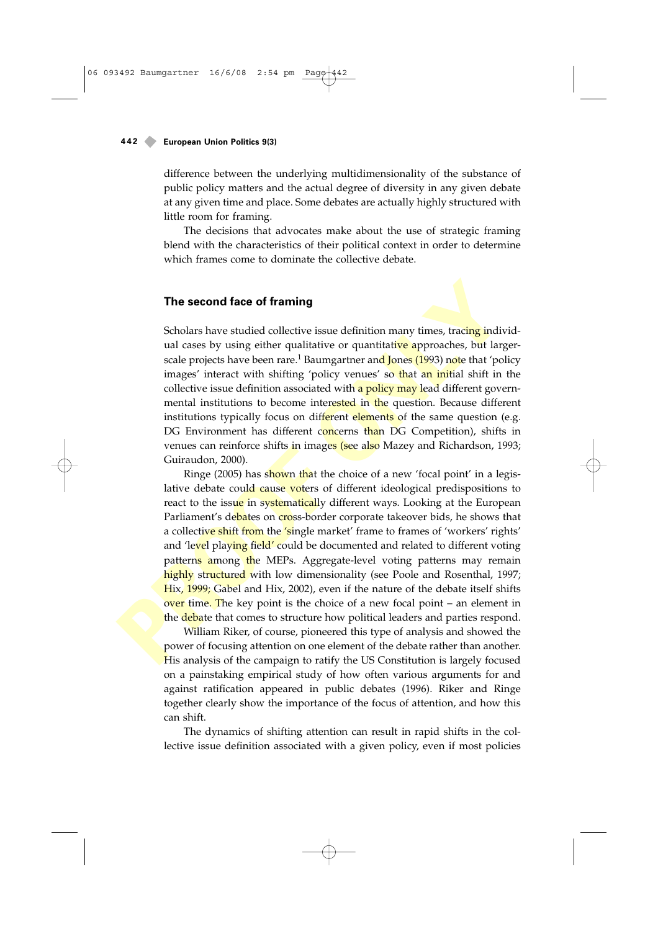difference between the underlying multidimensionality of the substance of public policy matters and the actual degree of diversity in any given debate at any given time and place. Some debates are actually highly structured with little room for framing.

The decisions that advocates make about the use of strategic framing blend with the characteristics of their political context in order to determine which frames come to dominate the collective debate.

# **The second face of framing**

Scholars have studied collective issue definition many times, tracing individual cases by using either qualitative or quantitative approaches, but largerscale projects have been rare.<sup>1</sup> Baumgartner and Jones  $(1993)$  note that 'policy images' interact with shifting 'policy venues' so that an initial shift in the collective issue definition associated with **a policy may lead** different governmental institutions to become interested in the question. Because different institutions typically focus on different elements of the same question (e.g. DG Environment has different concerns than DG Competition), shifts in venues can reinforce shifts in images (see also Mazey and Richardson, 1993; Guiraudon, 2000).

**The second face of framing**<br>Scholars have studied collective issue definition many times, tracing indiv<br>ual cases by using either qualitative or quantitative approaches, but larg<br>scale projects have been rare. 'Baumgarte Ringe (2005) has shown that the choice of a new 'focal point' in a legislative debate could cause voters of different ideological predispositions to react to the issue in systematically different ways. Looking at the European Parliament's debates on cross-border corporate takeover bids, he shows that a collective shift from the 'single market' frame to frames of 'workers' rights' and 'level playing field' could be documented and related to different voting patterns among the MEPs. Aggregate-level voting patterns may remain highly structured with low dimensionality (see Poole and Rosenthal, 1997; Hix, 1999; Gabel and Hix, 2002), even if the nature of the debate itself shifts over time. The key point is the choice of a new focal point – an element in the debate that comes to structure how political leaders and parties respond.

William Riker, of course, pioneered this type of analysis and showed the power of focusing attention on one element of the debate rather than another. His analysis of the campaign to ratify the US Constitution is largely focused on a painstaking empirical study of how often various arguments for and against ratification appeared in public debates (1996). Riker and Ringe together clearly show the importance of the focus of attention, and how this can shift.

The dynamics of shifting attention can result in rapid shifts in the collective issue definition associated with a given policy, even if most policies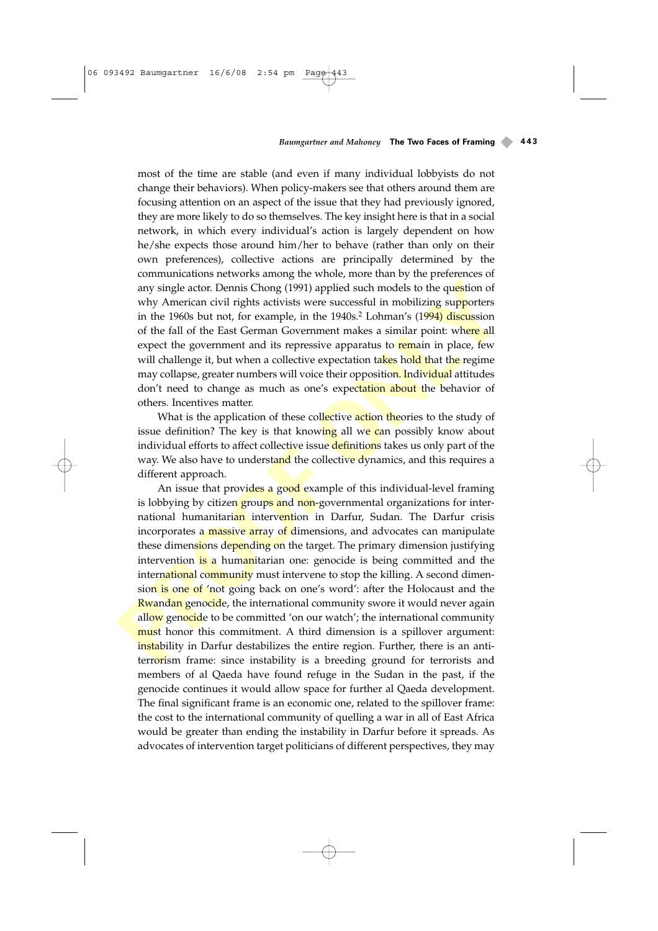most of the time are stable (and even if many individual lobbyists do not change their behaviors). When policy-makers see that others around them are focusing attention on an aspect of the issue that they had previously ignored, they are more likely to do so themselves. The key insight here is that in a social network, in which every individual's action is largely dependent on how he/she expects those around him/her to behave (rather than only on their own preferences), collective actions are principally determined by the communications networks among the whole, more than by the preferences of any single actor. Dennis Chong (1991) applied such models to the question of why American civil rights activists were successful in mobilizing supporters in the 1960s but not, for example, in the 1940s.<sup>2</sup> Lohman's (1994) discussion of the fall of the East German Government makes a similar point: where all expect the government and its repressive apparatus to **remain** in place, few will challenge it, but when a collective expectation takes hold that the regime may collapse, greater numbers will voice their opposition. Individual attitudes don't need to change as much as one's expectation about the behavior of others. Incentives matter.

What is the application of these collective action theories to the study of issue definition? The key is that knowing all we can possibly know about individual efforts to affect collective issue **definitions** takes us only part of the way. We also have to understand the collective dynamics, and this requires a different approach.

any single actor. Dennis Chong (1991) applied such models to the question of<br>sury single actor. Dennis Chong (1991) applied such models to the question of<br>sury American civil rights activists were successful in mobilizing An issue that provides a good example of this individual-level framing is lobbying by citizen groups and non-governmental organizations for international humanitarian intervention in Darfur, Sudan. The Darfur crisis incorporates a massive array of dimensions, and advocates can manipulate these dimensions depending on the target. The primary dimension justifying intervention is a humanitarian one: genocide is being committed and the international community must intervene to stop the killing. A second dimension is one of 'not going back on one's word': after the Holocaust and the <mark>Rwandan g</mark>enocide, the international community swore it would never again allow genocide to be committed 'on our watch'; the international community must honor this commitment. A third dimension is a spillover argument: instability in Darfur destabilizes the entire region. Further, there is an antiterrorism frame: since instability is a breeding ground for terrorists and members of al Qaeda have found refuge in the Sudan in the past, if the genocide continues it would allow space for further al Qaeda development. The final significant frame is an economic one, related to the spillover frame: the cost to the international community of quelling a war in all of East Africa would be greater than ending the instability in Darfur before it spreads. As advocates of intervention target politicians of different perspectives, they may

# 06 093492 Baumgartner 16/6/08 2:54 pm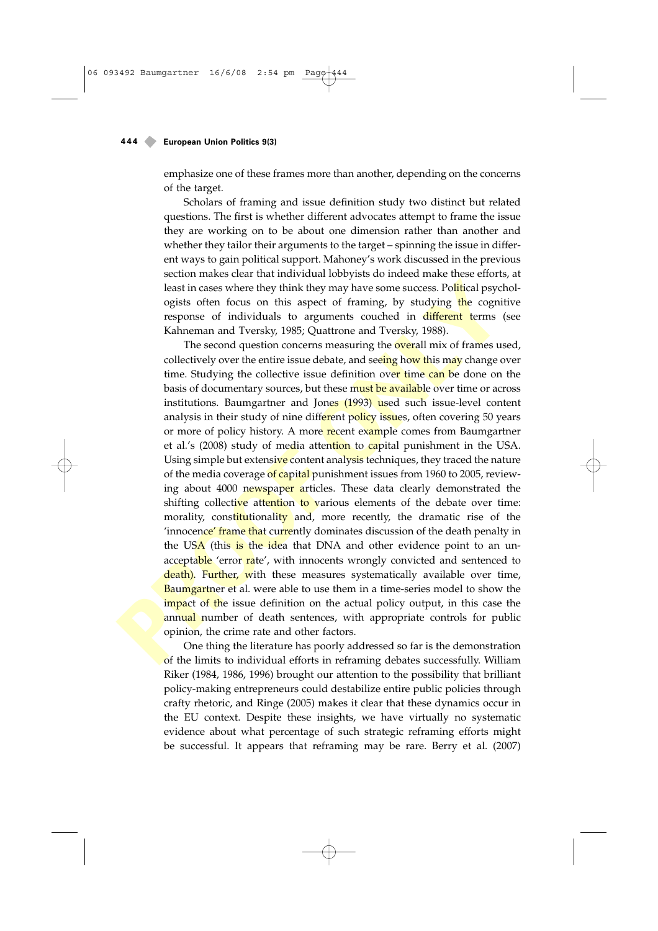emphasize one of these frames more than another, depending on the concerns of the target.

Scholars of framing and issue definition study two distinct but related questions. The first is whether different advocates attempt to frame the issue they are working on to be about one dimension rather than another and whether they tailor their arguments to the target – spinning the issue in different ways to gain political support. Mahoney's work discussed in the previous section makes clear that individual lobbyists do indeed make these efforts, at least in cases where they think they may have some success. Political psychologists often focus on this aspect of framing, by studying the cognitive response of individuals to arguments couched in different terms (see Kahneman and Tversky, 1985; Quattrone and Tversky, 1988).

Least in cases where they think they may have some succeses. Political psych ogists often focus on this aspect of framing, by studying the cogni response of individuals to arguments couched in different terms K Kahneman an The second question concerns measuring the **overall** mix of frames used, collectively over the entire issue debate, and seeing how this may change over time. Studying the collective issue definition over time can be done on the basis of documentary sources, but these must be available over time or across institutions. Baumgartner and Jones (1993) used such issue-level content analysis in their study of nine different policy issues, often covering 50 years or more of policy history. A more recent example comes from Baumgartner et al.'s (2008) study of media attention to capital punishment in the USA. Using simple but extensive content analysis techniques, they traced the nature of the media coverage of capital punishment issues from 1960 to 2005, reviewing about 4000 newspaper articles. These data clearly demonstrated the shifting collective attention to various elements of the debate over time: morality, constitutionality and, more recently, the dramatic rise of the 'innocence' frame that currently dominates discussion of the death penalty in the USA (this is the idea that DNA and other evidence point to an unacceptable 'error rate', with innocents wrongly convicted and sentenced to death). Further, with these measures systematically available over time, Baumgartner et al. were able to use them in a time-series model to show the **impact of the issue definition on the actual policy output, in this case the** annual number of death sentences, with appropriate controls for public opinion, the crime rate and other factors.

One thing the literature has poorly addressed so far is the demonstration of the limits to individual efforts in reframing debates successfully. William Riker (1984, 1986, 1996) brought our attention to the possibility that brilliant policy-making entrepreneurs could destabilize entire public policies through crafty rhetoric, and Ringe (2005) makes it clear that these dynamics occur in the EU context. Despite these insights, we have virtually no systematic evidence about what percentage of such strategic reframing efforts might be successful. It appears that reframing may be rare. Berry et al. (2007)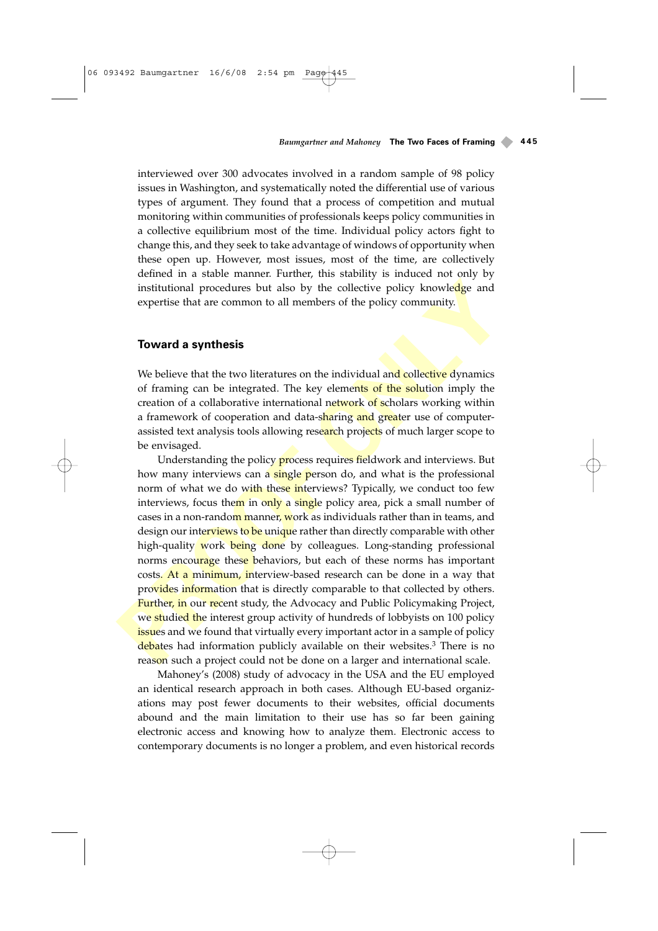interviewed over 300 advocates involved in a random sample of 98 policy issues in Washington, and systematically noted the differential use of various types of argument. They found that a process of competition and mutual monitoring within communities of professionals keeps policy communities in a collective equilibrium most of the time. Individual policy actors fight to change this, and they seek to take advantage of windows of opportunity when these open up. However, most issues, most of the time, are collectively defined in a stable manner. Further, this stability is induced not only by institutional procedures but also by the collective policy knowledge and expertise that are common to all members of the policy community.

# **Toward a synthesis**

06 093492 Baumgartner 16/6/08 2:54 pm

We believe that the two literatures on the individual and collective dynamics of framing can be integrated. The key elements of the solution imply the creation of a collaborative international network of scholars working within a framework of cooperation and data-sharing and greater use of computerassisted text analysis tools allowing research projects of much larger scope to be envisaged.

Institutional procedures but also by the collective policy knowledge and<br>expertise that are common to all members of the policy community.<br> **Toward a synthesis**<br>
We believe that the two literatures on the individual and co Understanding the policy **process requires fieldwork** and interviews. But how many interviews can a **single person** do, and what is the professional norm of what we do with these interviews? Typically, we conduct too few interviews, focus them in only a single policy area, pick a small number of cases in a non-random manner, work as individuals rather than in teams, and design our interviews to be unique rather than directly comparable with other high-quality work being done by colleagues. Long-standing professional norms encourage these behaviors, but each of these norms has important costs. At a minimum, interview-based research can be done in a way that provides information that is directly comparable to that collected by others. **Further, in our recent study, the Advocacy and Public Policymaking Project,** we studied the interest group activity of hundreds of lobbyists on 100 policy <mark>issue</mark>s and we found that virtually every important actor in a sample of policy debates had information publicly available on their websites.<sup>3</sup> There is no reason such a project could not be done on a larger and international scale.

Mahoney's (2008) study of advocacy in the USA and the EU employed an identical research approach in both cases. Although EU-based organizations may post fewer documents to their websites, official documents abound and the main limitation to their use has so far been gaining electronic access and knowing how to analyze them. Electronic access to contemporary documents is no longer a problem, and even historical records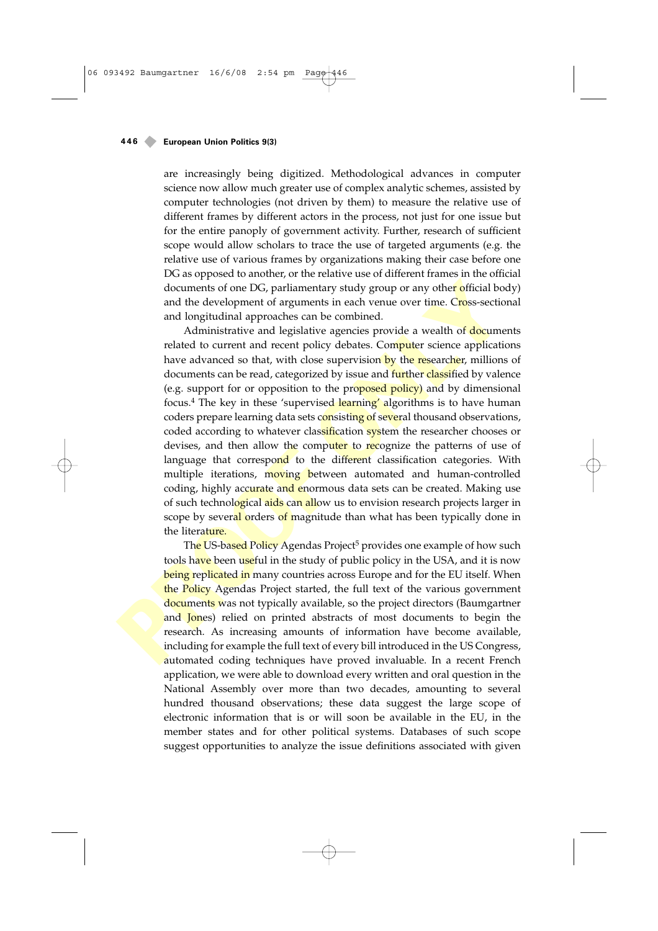are increasingly being digitized. Methodological advances in computer science now allow much greater use of complex analytic schemes, assisted by computer technologies (not driven by them) to measure the relative use of different frames by different actors in the process, not just for one issue but for the entire panoply of government activity. Further, research of sufficient scope would allow scholars to trace the use of targeted arguments (e.g. the relative use of various frames by organizations making their case before one DG as opposed to another, or the relative use of different frames in the official documents of one DG, parliamentary study group or any other official body) and the development of arguments in each venue over time. Cross-sectional and longitudinal approaches can be combined.

20 columents of one DG, parliamentary study group or any other official bota the development of arguments in each venue over time. Cross-section and the development of arguments in each venue over time. Cross-section domin Administrative and legislative agencies provide a wealth of documents related to current and recent policy debates. Computer science applications have advanced so that, with close supervision by the researcher, millions of documents can be read, categorized by issue and further classified by valence (e.g. support for or opposition to the proposed policy) and by dimensional focus.4 The key in these 'supervised learning' algorithms is to have human coders prepare learning data sets consisting of several thousand observations, coded according to whatever classification system the researcher chooses or devises, and then allow the computer to recognize the patterns of use of language that correspond to the different classification categories. With multiple iterations, moving between automated and human-controlled coding, highly accurate and enormous data sets can be created. Making use of such technological aids can allow us to envision research projects larger in scope by several orders of magnitude than what has been typically done in the literature.

The US-based Policy Agendas Project<sup>5</sup> provides one example of how such tools have been useful in the study of public policy in the USA, and it is now being replicated in many countries across Europe and for the EU itself. When the Policy Agendas Project started, the full text of the various government documents was not typically available, so the project directors (Baumgartner and Jones) relied on printed abstracts of most documents to begin the research. As increasing amounts of information have become available, including for example the full text of every bill introduced in the US Congress, automated coding techniques have proved invaluable. In a recent French application, we were able to download every written and oral question in the National Assembly over more than two decades, amounting to several hundred thousand observations; these data suggest the large scope of electronic information that is or will soon be available in the EU, in the member states and for other political systems. Databases of such scope suggest opportunities to analyze the issue definitions associated with given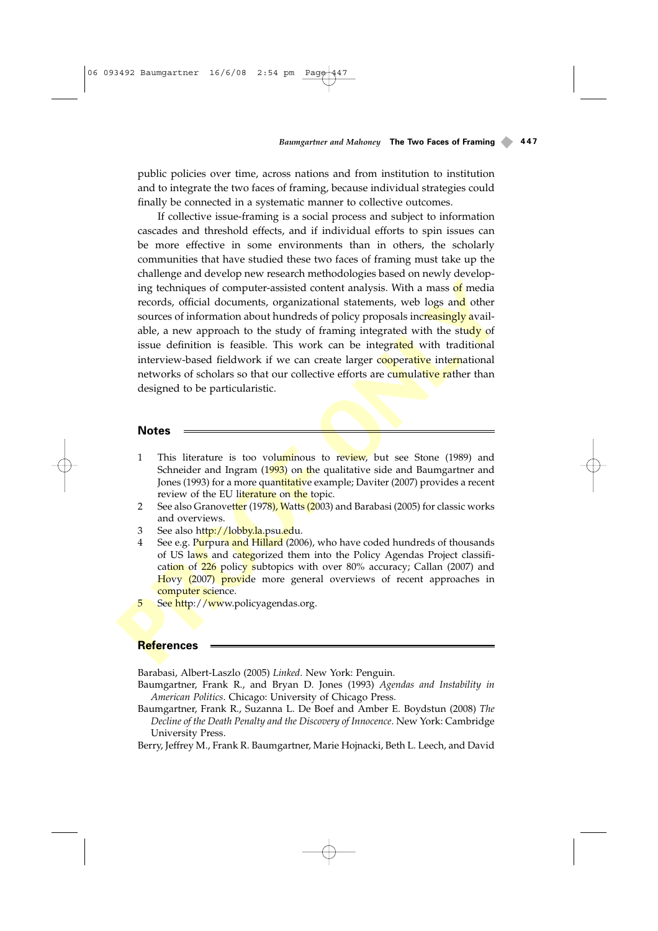public policies over time, across nations and from institution to institution and to integrate the two faces of framing, because individual strategies could finally be connected in a systematic manner to collective outcomes.

ing techniques of computer-assisted content analysis. With a mass of media<br>records, official documents, organizational statements, web logs and other<br>sources of information about hundreds of policy proposals increasingly a If collective issue-framing is a social process and subject to information cascades and threshold effects, and if individual efforts to spin issues can be more effective in some environments than in others, the scholarly communities that have studied these two faces of framing must take up the challenge and develop new research methodologies based on newly developing techniques of computer-assisted content analysis. With a mass of media records, official documents, organizational statements, web logs and other sources of information about hundreds of policy proposals increasingly available, a new approach to the study of framing integrated with the study of issue definition is feasible. This work can be integrated with traditional interview-based fieldwork if we can create larger cooperative international networks of scholars so that our collective efforts are cumulative rather than designed to be particularistic.

# **Notes**

06 093492 Baumgartner 16/6/08 2:54 pm

- 1 This literature is too voluminous to review, but see Stone (1989) and Schneider and Ingram (1993) on the qualitative side and Baumgartner and Jones (1993) for a more quantitative example; Daviter (2007) provides a recent review of the EU literature on the topic.
- 2 See also Granovetter (1978), Watts (2003) and Barabasi (2005) for classic works and overviews.
- 3 See also http://lobby.la.psu.edu.
- 4 See e.g. Purpura and Hillard (2006), who have coded hundreds of thousands of US laws and categorized them into the Policy Agendas Project classification of 226 policy subtopics with over 80% accuracy; Callan (2007) and Hovy (2007) provide more general overviews of recent approaches in computer science.
- See http://www.policyagendas.org.

# **References**

Barabasi, Albert-Laszlo (2005) *Linked*. New York: Penguin.

- Baumgartner, Frank R., and Bryan D. Jones (1993) *Agendas and Instability in American Politics*. Chicago: University of Chicago Press.
- Baumgartner, Frank R., Suzanna L. De Boef and Amber E. Boydstun (2008) *The Decline of the Death Penalty and the Discovery of Innocence*. New York: Cambridge University Press.

Berry, Jeffrey M., Frank R. Baumgartner, Marie Hojnacki, Beth L. Leech, and David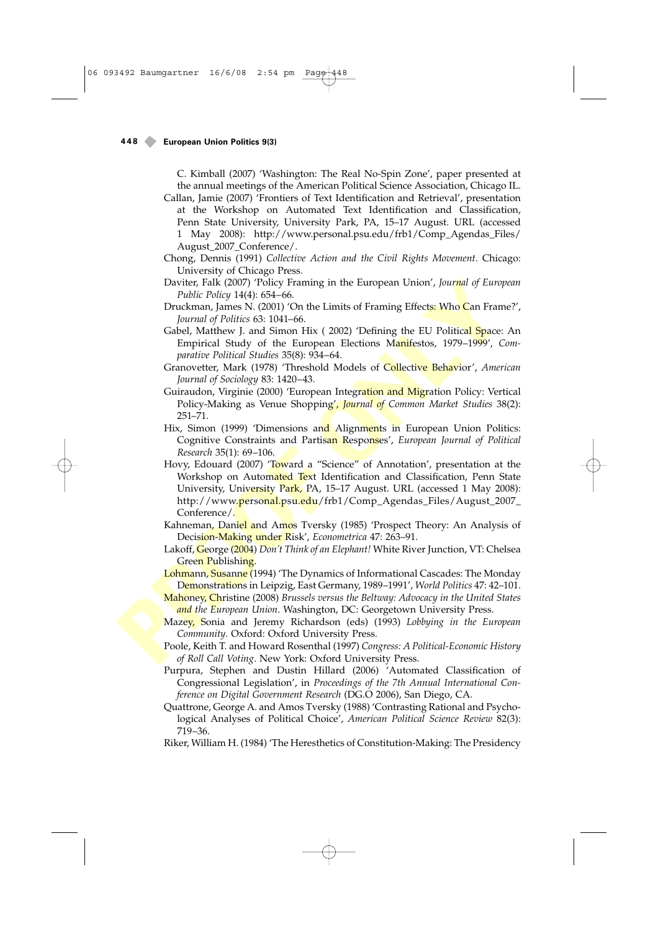C. Kimball (2007) 'Washington: The Real No-Spin Zone', paper presented at the annual meetings of the American Political Science Association, Chicago IL.

Callan, Jamie (2007) 'Frontiers of Text Identification and Retrieval', presentation at the Workshop on Automated Text Identification and Classification, Penn State University, University Park, PA, 15–17 August. URL (accessed 1 May 2008): http://www.personal.psu.edu/frb1/Comp\_Agendas\_Files/ August\_2007\_Conference/.

Chong, Dennis (1991) *Collective Action and the Civil Rights Movement*. Chicago: University of Chicago Press.

Daviter, Falk (2007) 'Policy Framing in the European Union', *Journal of European Public Policy* 14(4): 654–66.

- Druckman, James N. (2001) 'On the Limits of Framing Effects: Who Can Frame?', *Journal of Politics* 63: 1041–66.
- Gabel, Matthew J. and Simon Hix (2002) 'Defining the EU Political Space: An Empirical Study of the European Elections Manifestos, 1979–1999', *Comparative Political Studies* 35(8): 934–64.
- Granovetter, Mark (1978) 'Threshold Models of Collective Behavior', *American Journal of Sociology* 83: 1420–43.
- Guiraudon, Virginie (2000) 'European Integration and Migration Policy: Vertical Policy-Making as Venue Shopping', *Journal of Common Market Studies* 38(2): 251–71.
- Hix, Simon (1999) 'Dimensions and Alignments in European Union Politics: Cognitive Constraints and Partisan Responses', *European Journal of Political Research* 35(1): 69–106.
- Daviter, Falk (2007) Tölligy Framing in the European Union', Journal of Europ<br>
Public Policy (1976) Toilcy Tends 65.<br>
Druckman, James N. (2001) On the Limits of Framing Effects: Who Can Fram<br>
Journal of Politics 3:101-66.<br> Hovy, Edouard (2007) 'Toward a "Science" of Annotation', presentation at the Workshop on Automated Text Identification and Classification, Penn State University, University Park, PA, 15-17 August. URL (accessed 1 May 2008): http://www.personal.psu.edu/frb1/Comp\_Agendas\_Files/August\_2007\_ Conference/.
	- Kahneman, Daniel and Amos Tversky (1985) 'Prospect Theory: An Analysis of Decision-Making under Risk', *Econometrica* 47: 263–91.
	- Lakoff, George (2004) *Don't Think of an Elephant!* White River Junction, VT: Chelsea Green Publishing.
	- Lohmann, Susanne (1994) 'The Dynamics of Informational Cascades: The Monday Demonstrations in Leipzig, East Germany, 1989–1991', *World Politics* 47: 42–101.
	- Mahoney, Christine (2008) *Brussels versus the Beltway: Advocacy in the United States and the European Union*. Washington, DC: Georgetown University Press.
	- Mazey, Sonia and Jeremy Richardson (eds) (1993) *Lobbying in the European Community*. Oxford: Oxford University Press.
	- Poole, Keith T. and Howard Rosenthal (1997) *Congress: A Political-Economic History of Roll Call Voting*. New York: Oxford University Press.
	- Purpura, Stephen and Dustin Hillard (2006) 'Automated Classification of Congressional Legislation', in *Proceedings of the 7th Annual International Conference on Digital Government Research* (DG.O 2006), San Diego, CA.
	- Quattrone, George A. and Amos Tversky (1988) 'Contrasting Rational and Psychological Analyses of Political Choice', *American Political Science Review* 82(3): 719–36.
	- Riker, William H. (1984) 'The Heresthetics of Constitution-Making: The Presidency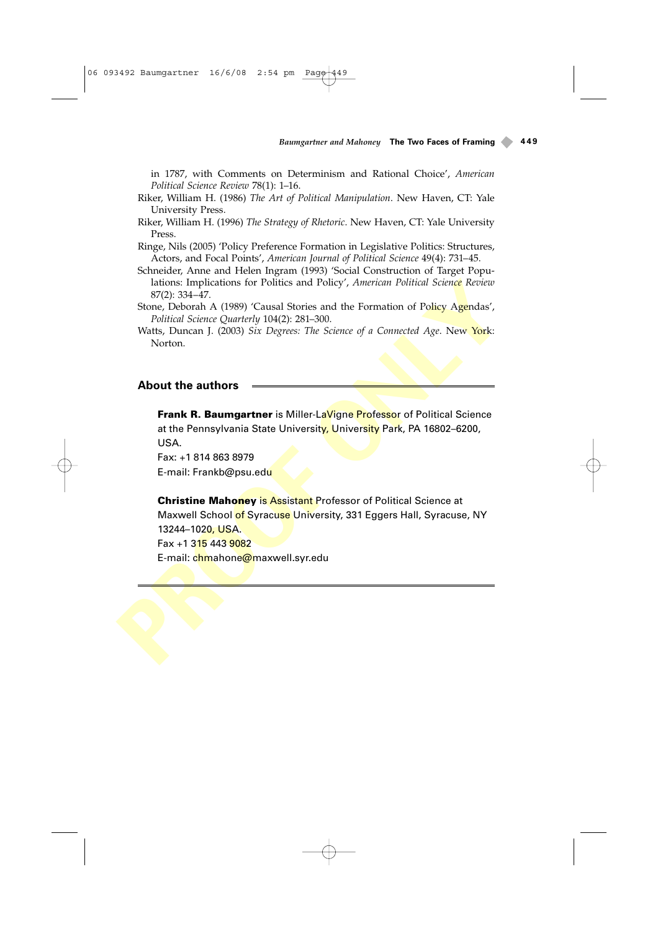in 1787, with Comments on Determinism and Rational Choice', *American Political Science Review* 78(1): 1–16.

Riker, William H. (1986) *The Art of Political Manipulation*. New Haven, CT: Yale University Press.

Riker, William H. (1996) *The Strategy of Rhetoric*. New Haven, CT: Yale University Press.

Ringe, Nils (2005) 'Policy Preference Formation in Legislative Politics: Structures, Actors, and Focal Points', *American Journal of Political Science* 49(4): 731–45.

Schneider, Anne and Helen Ingram (1993) 'Social Construction of Target Populations: Implications for Politics and Policy', *American Political Science Review* 87(2): 334–47.

Stone, Deborah A (1989) 'Causal Stories and the Formation of Policy Agendas', *Political Science Quarterly* 104(2): 281–300.

Watts, Duncan J. (2003) *Six Degrees: The Science of a Connected Age*. New York: Norton.

# **About the authors**

**Frank R. Baumgartner** is Miller-LaVigne Professor of Political Science at the Pennsylvania State University, University Park, PA 16802-6200, USA.

Fax: +1 814 863 8979 E-mail: Frankb@psu.edu

ations: Implications for Politics and Policy', American Political Science Review<br>
87(2): 334-47.<br>
Stone, Deborah A (1989) 'Causal Stories and the Formation of Policy Agendas',<br>
Political Science Quarterly 104(2): 281–300.<br> **Christine Mahoney is Assistant Professor of Political Science at** Maxwell School of Syracuse University, 331 Eggers Hall, Syracuse, NY 13244–1020, USA. Fax +1 315 443 9082 E-mail: chmahone@maxwell.syr.edu